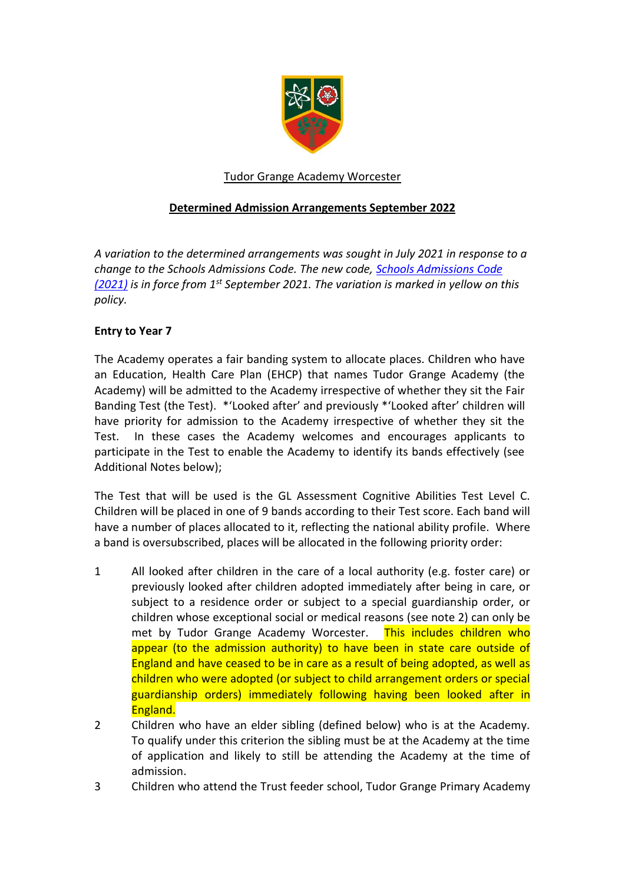

# Tudor Grange Academy Worcester

# **Determined Admission Arrangements September 2022**

*A variation to the determined arrangements was sought in July 2021 in response to a change to the Schools Admissions Code. The new code, [Schools Admissions Code](https://www.gov.uk/government/publications/school-admissions-code--2)  [\(2021\)](https://www.gov.uk/government/publications/school-admissions-code--2) is in force from 1st September 2021. The variation is marked in yellow on this policy.*

## **Entry to Year 7**

The Academy operates a fair banding system to allocate places. Children who have an Education, Health Care Plan (EHCP) that names Tudor Grange Academy (the Academy) will be admitted to the Academy irrespective of whether they sit the Fair Banding Test (the Test). \*'Looked after' and previously \*'Looked after' children will have priority for admission to the Academy irrespective of whether they sit the Test. In these cases the Academy welcomes and encourages applicants to participate in the Test to enable the Academy to identify its bands effectively (see Additional Notes below);

The Test that will be used is the GL Assessment Cognitive Abilities Test Level C. Children will be placed in one of 9 bands according to their Test score. Each band will have a number of places allocated to it, reflecting the national ability profile. Where a band is oversubscribed, places will be allocated in the following priority order:

- 1 All looked after children in the care of a local authority (e.g. foster care) or previously looked after children adopted immediately after being in care, or subject to a residence order or subject to a special guardianship order, or children whose exceptional social or medical reasons (see note 2) can only be met by Tudor Grange Academy Worcester. This includes children who appear (to the admission authority) to have been in state care outside of England and have ceased to be in care as a result of being adopted, as well as children who were adopted (or subject to child arrangement orders or special guardianship orders) immediately following having been looked after in England.
- 2 Children who have an elder sibling (defined below) who is at the Academy. To qualify under this criterion the sibling must be at the Academy at the time of application and likely to still be attending the Academy at the time of admission.
- 3 Children who attend the Trust feeder school, Tudor Grange Primary Academy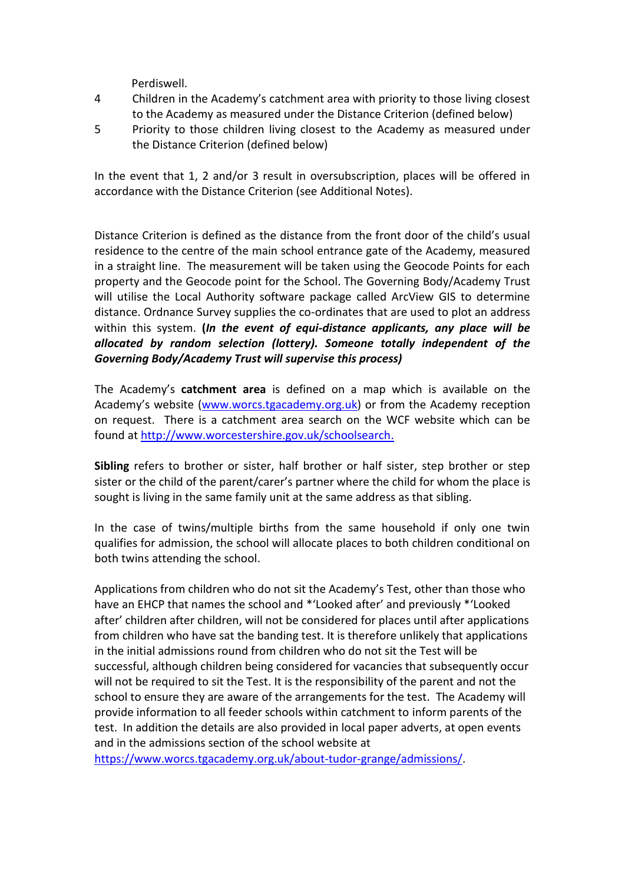Perdiswell.

- 4 Children in the Academy's catchment area with priority to those living closest to the Academy as measured under the Distance Criterion (defined below)
- 5 Priority to those children living closest to the Academy as measured under the Distance Criterion (defined below)

In the event that 1, 2 and/or 3 result in oversubscription, places will be offered in accordance with the Distance Criterion (see Additional Notes).

Distance Criterion is defined as the distance from the front door of the child's usual residence to the centre of the main school entrance gate of the Academy, measured in a straight line. The measurement will be taken using the Geocode Points for each property and the Geocode point for the School. The Governing Body/Academy Trust will utilise the Local Authority software package called ArcView GIS to determine distance. Ordnance Survey supplies the co-ordinates that are used to plot an address within this system. **(***In the event of equi-distance applicants, any place will be allocated by random selection (lottery). Someone totally independent of the Governing Body/Academy Trust will supervise this process)*

The Academy's **catchment area** is defined on a map which is available on the Academy's website [\(www.worcs.tgacademy.org.uk\)](http://www.worcs.tgacademy.org.uk/) or from the Academy reception on request. There is a catchment area search on the WCF website which can be found at [http://www.worcestershire.gov.uk/schoolsearch.](http://www.worcestershire.gov.uk/schoolsearch)

**Sibling** refers to brother or sister, half brother or half sister, step brother or step sister or the child of the parent/carer's partner where the child for whom the place is sought is living in the same family unit at the same address as that sibling.

In the case of twins/multiple births from the same household if only one twin qualifies for admission, the school will allocate places to both children conditional on both twins attending the school.

Applications from children who do not sit the Academy's Test, other than those who have an EHCP that names the school and \*'Looked after' and previously \*'Looked after' children after children, will not be considered for places until after applications from children who have sat the banding test. It is therefore unlikely that applications in the initial admissions round from children who do not sit the Test will be successful, although children being considered for vacancies that subsequently occur will not be required to sit the Test. It is the responsibility of the parent and not the school to ensure they are aware of the arrangements for the test. The Academy will provide information to all feeder schools within catchment to inform parents of the test. In addition the details are also provided in local paper adverts, at open events and in the admissions section of the school website at

[https://www.worcs.tgacademy.org.uk/about-tudor-grange/admissions/.](https://www.worcs.tgacademy.org.uk/about-tudor-grange/admissions/)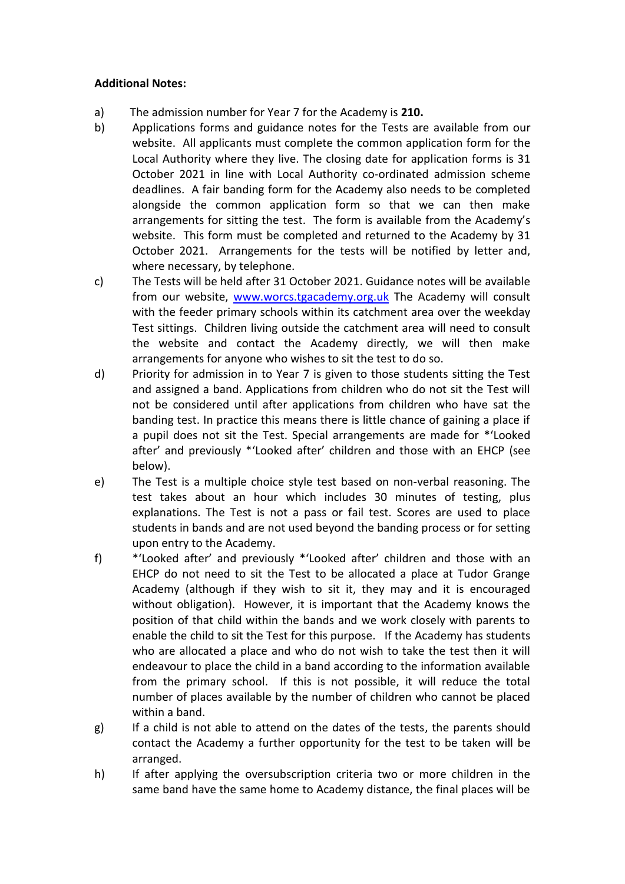### **Additional Notes:**

- a) The admission number for Year 7 for the Academy is **210.**
- b) Applications forms and guidance notes for the Tests are available from our website. All applicants must complete the common application form for the Local Authority where they live. The closing date for application forms is 31 October 2021 in line with Local Authority co-ordinated admission scheme deadlines. A fair banding form for the Academy also needs to be completed alongside the common application form so that we can then make arrangements for sitting the test. The form is available from the Academy's website. This form must be completed and returned to the Academy by 31 October 2021. Arrangements for the tests will be notified by letter and, where necessary, by telephone.
- c) The Tests will be held after 31 October 2021. Guidance notes will be available from our website, [www.worcs.tgacademy.org.uk](http://www.worcs.tgacademy.org.uk/) The Academy will consult with the feeder primary schools within its catchment area over the weekday Test sittings. Children living outside the catchment area will need to consult the website and contact the Academy directly, we will then make arrangements for anyone who wishes to sit the test to do so.
- d) Priority for admission in to Year 7 is given to those students sitting the Test and assigned a band. Applications from children who do not sit the Test will not be considered until after applications from children who have sat the banding test. In practice this means there is little chance of gaining a place if a pupil does not sit the Test. Special arrangements are made for \*'Looked after' and previously \*'Looked after' children and those with an EHCP (see below).
- e) The Test is a multiple choice style test based on non‐verbal reasoning. The test takes about an hour which includes 30 minutes of testing, plus explanations. The Test is not a pass or fail test. Scores are used to place students in bands and are not used beyond the banding process or for setting upon entry to the Academy.
- f) \*'Looked after' and previously \*'Looked after' children and those with an EHCP do not need to sit the Test to be allocated a place at Tudor Grange Academy (although if they wish to sit it, they may and it is encouraged without obligation). However, it is important that the Academy knows the position of that child within the bands and we work closely with parents to enable the child to sit the Test for this purpose. If the Academy has students who are allocated a place and who do not wish to take the test then it will endeavour to place the child in a band according to the information available from the primary school. If this is not possible, it will reduce the total number of places available by the number of children who cannot be placed within a band.
- g) If a child is not able to attend on the dates of the tests, the parents should contact the Academy a further opportunity for the test to be taken will be arranged.
- h) If after applying the oversubscription criteria two or more children in the same band have the same home to Academy distance, the final places will be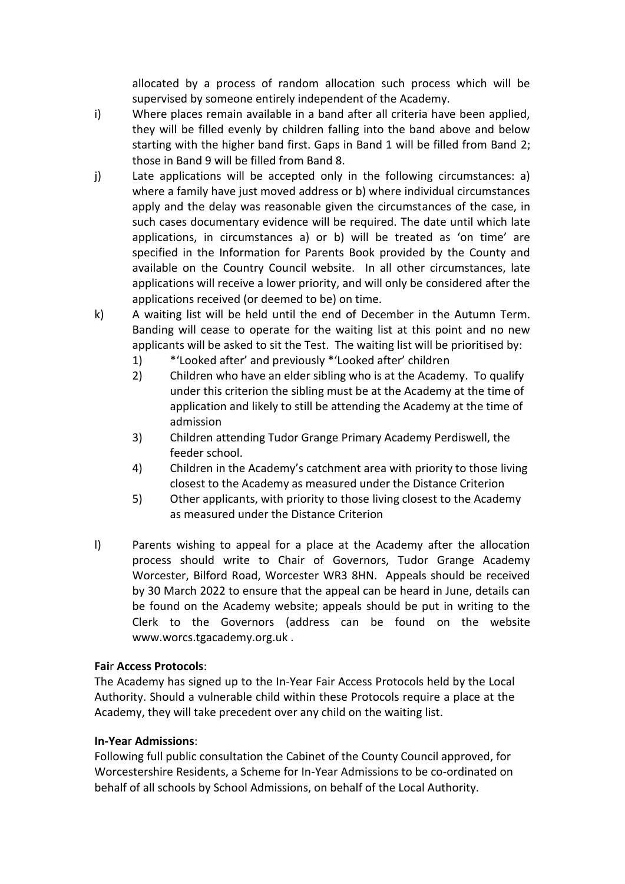allocated by a process of random allocation such process which will be supervised by someone entirely independent of the Academy.

- i) Where places remain available in a band after all criteria have been applied, they will be filled evenly by children falling into the band above and below starting with the higher band first. Gaps in Band 1 will be filled from Band 2; those in Band 9 will be filled from Band 8.
- j) Late applications will be accepted only in the following circumstances: a) where a family have just moved address or b) where individual circumstances apply and the delay was reasonable given the circumstances of the case, in such cases documentary evidence will be required. The date until which late applications, in circumstances a) or b) will be treated as 'on time' are specified in the Information for Parents Book provided by the County and available on the Country Council website. In all other circumstances, late applications will receive a lower priority, and will only be considered after the applications received (or deemed to be) on time.
- k) A waiting list will be held until the end of December in the Autumn Term. Banding will cease to operate for the waiting list at this point and no new applicants will be asked to sit the Test. The waiting list will be prioritised by:
	- 1) \*'Looked after' and previously \*'Looked after' children
	- 2) Children who have an elder sibling who is at the Academy. To qualify under this criterion the sibling must be at the Academy at the time of application and likely to still be attending the Academy at the time of admission
	- 3) Children attending Tudor Grange Primary Academy Perdiswell, the feeder school.
	- 4) Children in the Academy's catchment area with priority to those living closest to the Academy as measured under the Distance Criterion
	- 5) Other applicants, with priority to those living closest to the Academy as measured under the Distance Criterion
- l) Parents wishing to appeal for a place at the Academy after the allocation process should write to Chair of Governors, Tudor Grange Academy Worcester, Bilford Road, Worcester WR3 8HN. Appeals should be received by 30 March 2022 to ensure that the appeal can be heard in June, details can be found on the Academy website; appeals should be put in writing to the Clerk to the Governors (address can be found on the website www.worcs.tgacademy.org.uk .

## **Fai**r **Access Protocols**:

The Academy has signed up to the In‐Year Fair Access Protocols held by the Local Authority. Should a vulnerable child within these Protocols require a place at the Academy, they will take precedent over any child on the waiting list.

### **In‐Yea**r **Admissions**:

Following full public consultation the Cabinet of the County Council approved, for Worcestershire Residents, a Scheme for In-Year Admissions to be co-ordinated on behalf of all schools by School Admissions, on behalf of the Local Authority.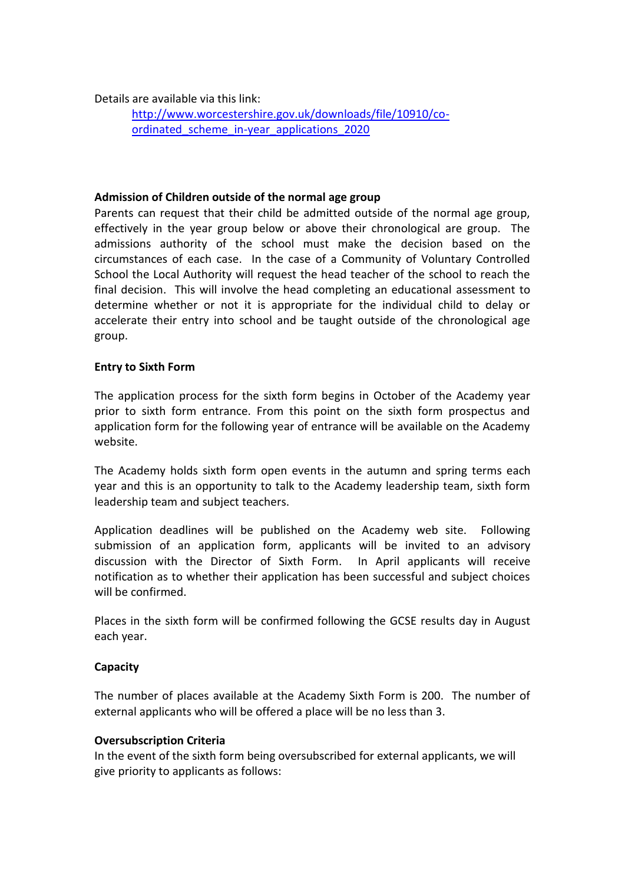Details are available via this link:

[http://www.worcestershire.gov.uk/downloads/file/10910/co](http://www.worcestershire.gov.uk/downloads/file/10910/co-ordinated_scheme_in-year_applications_2020)ordinated scheme in-year applications 2020

### **Admission of Children outside of the normal age group**

Parents can request that their child be admitted outside of the normal age group, effectively in the year group below or above their chronological are group. The admissions authority of the school must make the decision based on the circumstances of each case. In the case of a Community of Voluntary Controlled School the Local Authority will request the head teacher of the school to reach the final decision. This will involve the head completing an educational assessment to determine whether or not it is appropriate for the individual child to delay or accelerate their entry into school and be taught outside of the chronological age group.

### **Entry to Sixth Form**

The application process for the sixth form begins in October of the Academy year prior to sixth form entrance. From this point on the sixth form prospectus and application form for the following year of entrance will be available on the Academy website.

The Academy holds sixth form open events in the autumn and spring terms each year and this is an opportunity to talk to the Academy leadership team, sixth form leadership team and subject teachers.

Application deadlines will be published on the Academy web site. Following submission of an application form, applicants will be invited to an advisory discussion with the Director of Sixth Form. In April applicants will receive notification as to whether their application has been successful and subject choices will be confirmed.

Places in the sixth form will be confirmed following the GCSE results day in August each year.

#### **Capacity**

The number of places available at the Academy Sixth Form is 200. The number of external applicants who will be offered a place will be no less than 3.

#### **Oversubscription Criteria**

In the event of the sixth form being oversubscribed for external applicants, we will give priority to applicants as follows: